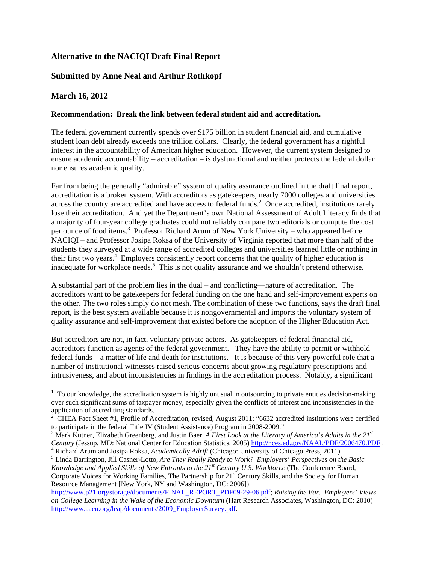# **Alternative to the NACIQI Draft Final Report**

# **Submitted by Anne Neal and Arthur Rothkopf**

### **March 16, 2012**

### **Recommendation: Break the link between federal student aid and accreditation.**

The federal government currently spends over \$175 billion in student financial aid, and cumulative student loan debt already exceeds one trillion dollars. Clearly, the federal government has a rightful interest in the accountability of American higher education.<sup>1</sup> However, the current system designed to ensure academic accountability – accreditation – is dysfunctional and neither protects the federal dollar nor ensures academic quality.

Far from being the generally "admirable" system of quality assurance outlined in the draft final report, accreditation is a broken system. With accreditors as gatekeepers, nearly 7000 colleges and universities across the country are accredited and have access to federal funds.<sup>2</sup> Once accredited, institutions rarely lose their accreditation. And yet the Department's own National Assessment of Adult Literacy finds that a majority of four-year college graduates could not reliably compare two editorials or compute the cost per ounce of food items.<sup>3</sup> Professor Richard Arum of New York University – who appeared before NACIQI – and Professor Josipa Roksa of the University of Virginia reported that more than half of the students they surveyed at a wide range of accredited colleges and universities learned little or nothing in their first two years.<sup>4</sup> Employers consistently report concerns that the quality of higher education is inadequate for workplace needs.<sup>5</sup> This is not quality assurance and we shouldn't pretend otherwise.

A substantial part of the problem lies in the dual – and conflicting—nature of accreditation. The accreditors want to be gatekeepers for federal funding on the one hand and self-improvement experts on the other. The two roles simply do not mesh. The combination of these two functions, says the draft final report, is the best system available because it is nongovernmental and imports the voluntary system of quality assurance and self-improvement that existed before the adoption of the Higher Education Act.

But accreditors are not, in fact, voluntary private actors. As gatekeepers of federal financial aid, accreditors function as agents of the federal government. They have the ability to permit or withhold federal funds – a matter of life and death for institutions. It is because of this very powerful role that a number of institutional witnesses raised serious concerns about growing regulatory prescriptions and intrusiveness, and about inconsistencies in findings in the accreditation process. Notably, a significant

  $1$  To our knowledge, the accreditation system is highly unusual in outsourcing to private entities decision-making over such significant sums of taxpayer money, especially given the conflicts of interest and inconsistencies in the application of accrediting standards.<br>
<sup>2</sup> CHEA Foot Shoot #1. Profile of Ac

CHEA Fact Sheet #1, Profile of Accreditation, revised, August 2011: "6632 accredited institutions were certified to participate in the federal Title IV (Student Assistance) Program in 2008-2009."

<sup>&</sup>lt;sup>3</sup> Mark Kutner, Elizabeth Greenberg, and Justin Baer, *A First Look at the Literacy of America's Adults in the 21<sup>st</sup> Century* (Jessup, MD: National Center for Education Statistics, 2005) http://nces.ed.gov/NAAL/PDF/2006470.PDF.

<sup>&</sup>lt;sup>4</sup> Richard Arum and Josipa Roksa, *Academically Adrift* (Chicago: University of Chicago Press, 2011).

Linda Barrington, Jill Casner-Lotto, *Are They Really Ready to Work? Employers' Perspectives on the Basic Knowledge and Applied Skills of New Entrants to the 21st Century U.S. Workforce* (The Conference Board, Corporate Voices for Working Families, The Partnership for 21<sup>st</sup> Century Skills, and the Society for Human Resource Management [New York, NY and Washington, DC: 2006])

http://www.p21.org/storage/documents/FINAL\_REPORT\_PDF09-29-06.pdf; *Raising the Bar. Employers' Views on College Learning in the Wake of the Economic Downturn* (Hart Research Associates, Washington, DC: 2010) http://www.aacu.org/leap/documents/2009\_EmployerSurvey.pdf.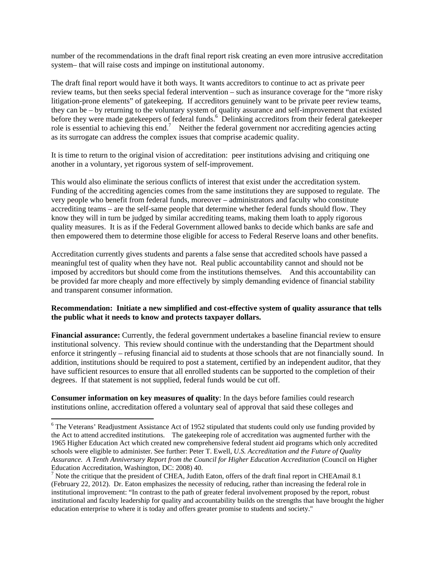number of the recommendations in the draft final report risk creating an even more intrusive accreditation system– that will raise costs and impinge on institutional autonomy.

The draft final report would have it both ways. It wants accreditors to continue to act as private peer review teams, but then seeks special federal intervention – such as insurance coverage for the "more risky litigation-prone elements" of gatekeeping. If accreditors genuinely want to be private peer review teams, they can be – by returning to the voluntary system of quality assurance and self-improvement that existed before they were made gatekeepers of federal funds.<sup>6</sup> Delinking accreditors from their federal gatekeeper role is essential to achieving this end.<sup>7</sup> Neither the federal government nor accrediting agencies acting as its surrogate can address the complex issues that comprise academic quality.

It is time to return to the original vision of accreditation: peer institutions advising and critiquing one another in a voluntary, yet rigorous system of self-improvement.

This would also eliminate the serious conflicts of interest that exist under the accreditation system. Funding of the accrediting agencies comes from the same institutions they are supposed to regulate. The very people who benefit from federal funds, moreover – administrators and faculty who constitute accrediting teams – are the self-same people that determine whether federal funds should flow. They know they will in turn be judged by similar accrediting teams, making them loath to apply rigorous quality measures. It is as if the Federal Government allowed banks to decide which banks are safe and then empowered them to determine those eligible for access to Federal Reserve loans and other benefits.

Accreditation currently gives students and parents a false sense that accredited schools have passed a meaningful test of quality when they have not. Real public accountability cannot and should not be imposed by accreditors but should come from the institutions themselves. And this accountability can be provided far more cheaply and more effectively by simply demanding evidence of financial stability and transparent consumer information.

#### **Recommendation: Initiate a new simplified and cost-effective system of quality assurance that tells the public what it needs to know and protects taxpayer dollars.**

**Financial assurance:** Currently, the federal government undertakes a baseline financial review to ensure institutional solvency. This review should continue with the understanding that the Department should enforce it stringently – refusing financial aid to students at those schools that are not financially sound. In addition, institutions should be required to post a statement, certified by an independent auditor, that they have sufficient resources to ensure that all enrolled students can be supported to the completion of their degrees. If that statement is not supplied, federal funds would be cut off.

**Consumer information on key measures of quality**: In the days before families could research institutions online, accreditation offered a voluntary seal of approval that said these colleges and

<sup>&</sup>lt;sup>6</sup> The Veterans' Readjustment Assistance Act of 1952 stipulated that students could only use funding provided by the Act to attend accredited institutions. The gatekeeping role of accreditation was augmented further with the 1965 Higher Education Act which created new comprehensive federal student aid programs which only accredited schools were eligible to administer. See further: Peter T. Ewell, *U.S. Accreditation and the Future of Quality Assurance. A Tenth Anniversary Report from the Council for Higher Education Accreditation* (Council on Higher Education Accreditation, Washington, DC: 2008) 40.

<sup>&</sup>lt;sup>7</sup> Note the critique that the president of CHEA, Judith Eaton, offers of the draft final report in CHEAmail 8.1 (February 22, 2012). Dr. Eaton emphasizes the necessity of reducing, rather than increasing the federal role in institutional improvement: "In contrast to the path of greater federal involvement proposed by the report, robust institutional and faculty leadership for quality and accountability builds on the strengths that have brought the higher education enterprise to where it is today and offers greater promise to students and society."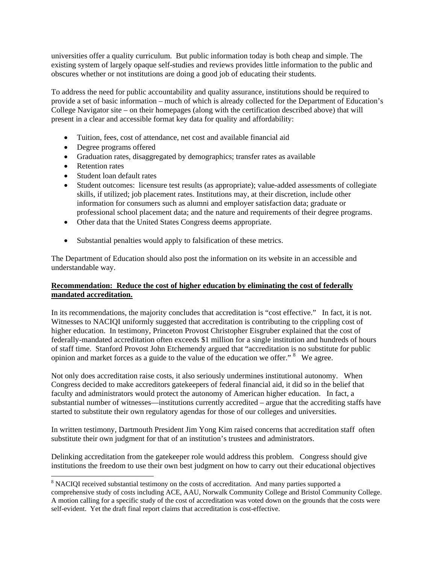universities offer a quality curriculum. But public information today is both cheap and simple. The existing system of largely opaque self-studies and reviews provides little information to the public and obscures whether or not institutions are doing a good job of educating their students.

To address the need for public accountability and quality assurance, institutions should be required to provide a set of basic information – much of which is already collected for the Department of Education's College Navigator site – on their homepages (along with the certification described above) that will present in a clear and accessible format key data for quality and affordability:

- Tuition, fees, cost of attendance, net cost and available financial aid
- Degree programs offered
- Graduation rates, disaggregated by demographics; transfer rates as available
- Retention rates
- Student loan default rates

- Student outcomes: licensure test results (as appropriate); value-added assessments of collegiate skills, if utilized; job placement rates. Institutions may, at their discretion, include other information for consumers such as alumni and employer satisfaction data; graduate or professional school placement data; and the nature and requirements of their degree programs.
- Other data that the United States Congress deems appropriate.
- Substantial penalties would apply to falsification of these metrics.

The Department of Education should also post the information on its website in an accessible and understandable way.

#### **Recommendation: Reduce the cost of higher education by eliminating the cost of federally mandated accreditation.**

In its recommendations, the majority concludes that accreditation is "cost effective." In fact, it is not. Witnesses to NACIQI uniformly suggested that accreditation is contributing to the crippling cost of higher education. In testimony, Princeton Provost Christopher Eisgruber explained that the cost of federally-mandated accreditation often exceeds \$1 million for a single institution and hundreds of hours of staff time. Stanford Provost John Etchemendy argued that "accreditation is no substitute for public opinion and market forces as a guide to the value of the education we offer."<sup>8</sup> We agree.

Not only does accreditation raise costs, it also seriously undermines institutional autonomy. When Congress decided to make accreditors gatekeepers of federal financial aid, it did so in the belief that faculty and administrators would protect the autonomy of American higher education. In fact, a substantial number of witnesses—institutions currently accredited – argue that the accrediting staffs have started to substitute their own regulatory agendas for those of our colleges and universities.

In written testimony, Dartmouth President Jim Yong Kim raised concerns that accreditation staff often substitute their own judgment for that of an institution's trustees and administrators.

Delinking accreditation from the gatekeeper role would address this problem. Congress should give institutions the freedom to use their own best judgment on how to carry out their educational objectives

 $8$  NACIQI received substantial testimony on the costs of accreditation. And many parties supported a comprehensive study of costs including ACE, AAU, Norwalk Community College and Bristol Community College. A motion calling for a specific study of the cost of accreditation was voted down on the grounds that the costs were self-evident. Yet the draft final report claims that accreditation is cost-effective.